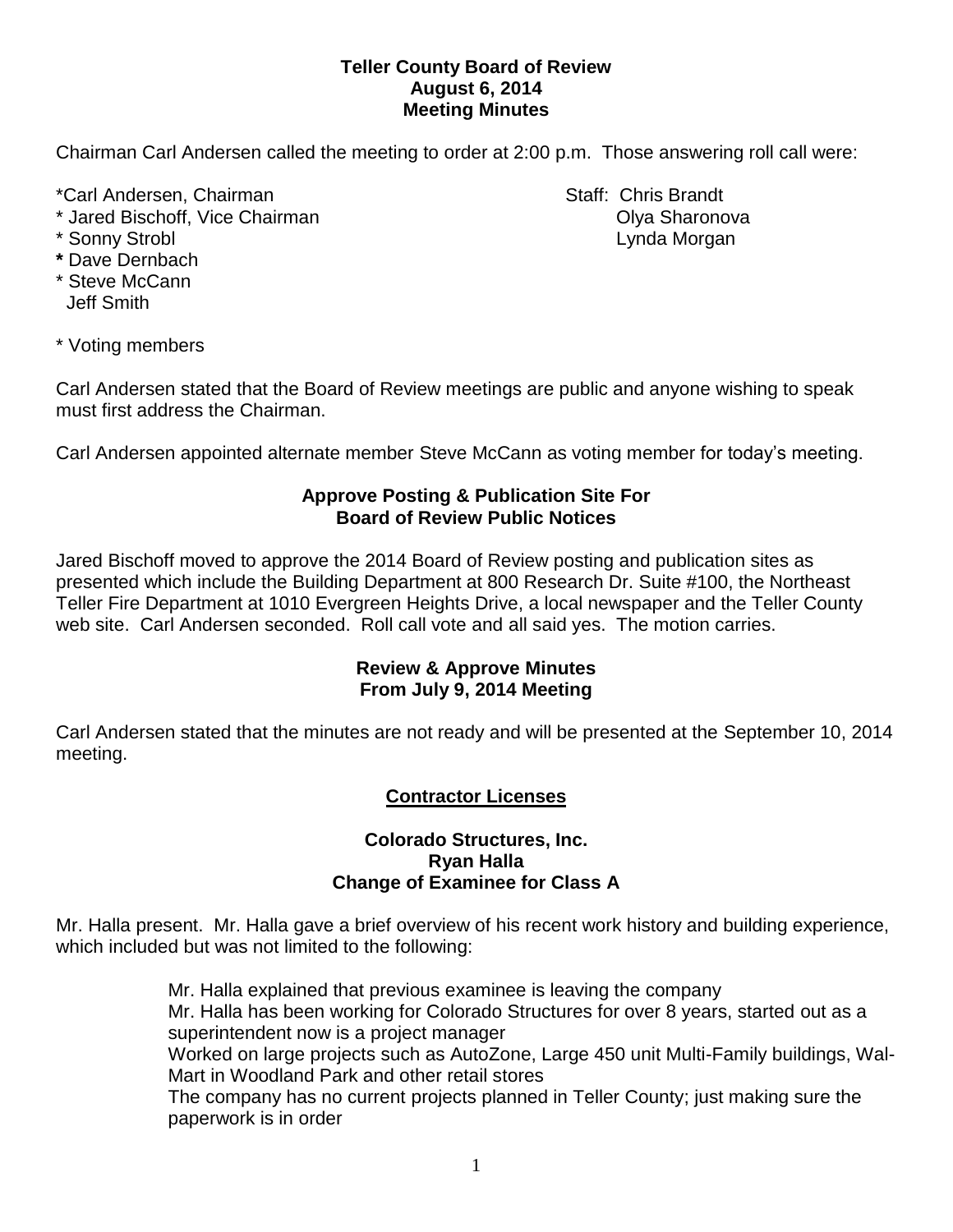## **Teller County Board of Review August 6, 2014 Meeting Minutes**

Chairman Carl Andersen called the meeting to order at 2:00 p.m. Those answering roll call were:

\*Carl Andersen, Chairman Staff: Chris Brandt

- \* Jared Bischoff, Vice Chairman Olya Sharonova
- 
- **\*** Dave Dernbach
- \* Steve McCann Jeff Smith

\* Sonny Strobl **Lynda Morgan** 

\* Voting members

Carl Andersen stated that the Board of Review meetings are public and anyone wishing to speak must first address the Chairman.

Carl Andersen appointed alternate member Steve McCann as voting member for today's meeting.

# **Approve Posting & Publication Site For Board of Review Public Notices**

Jared Bischoff moved to approve the 2014 Board of Review posting and publication sites as presented which include the Building Department at 800 Research Dr. Suite #100, the Northeast Teller Fire Department at 1010 Evergreen Heights Drive, a local newspaper and the Teller County web site. Carl Andersen seconded. Roll call vote and all said yes. The motion carries.

# **Review & Approve Minutes From July 9, 2014 Meeting**

Carl Andersen stated that the minutes are not ready and will be presented at the September 10, 2014 meeting.

# **Contractor Licenses**

#### **Colorado Structures, Inc. Ryan Halla Change of Examinee for Class A**

Mr. Halla present. Mr. Halla gave a brief overview of his recent work history and building experience, which included but was not limited to the following:

> Mr. Halla explained that previous examinee is leaving the company Mr. Halla has been working for Colorado Structures for over 8 years, started out as a superintendent now is a project manager Worked on large projects such as AutoZone, Large 450 unit Multi-Family buildings, Wal-Mart in Woodland Park and other retail stores The company has no current projects planned in Teller County; just making sure the paperwork is in order